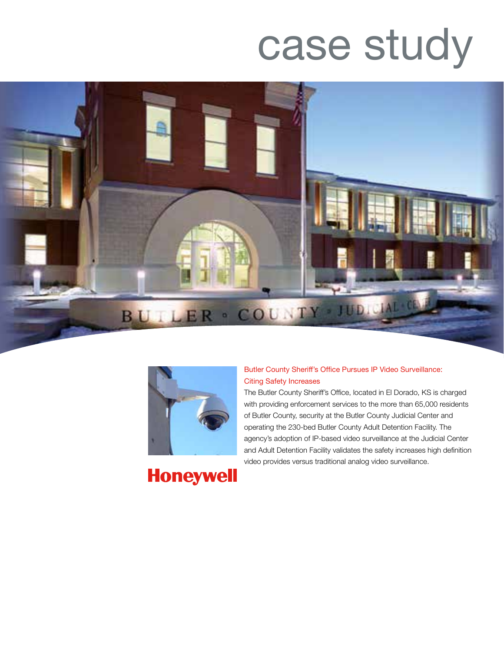# case study





Butler County Sheriff's Office Pursues IP Video Surveillance: Citing Safety Increases

The Butler County Sheriff's Office, located in El Dorado, KS is charged with providing enforcement services to the more than 65,000 residents of Butler County, security at the Butler County Judicial Center and operating the 230-bed Butler County Adult Detention Facility. The agency's adoption of IP-based video surveillance at the Judicial Center and Adult Detention Facility validates the safety increases high definition video provides versus traditional analog video surveillance.

**Honeywell**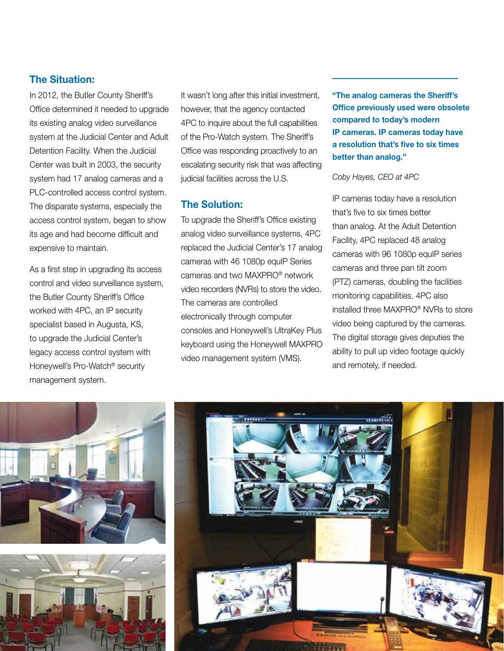# **The Situation:**

In 2012, the Butler County Sheriff's Office determined it needed to upgrade its existing analog video surveillance system at the Judicial Center and Adult Detention Facility. When the Judicial Center was built in 2003, the security system had 17 analog cameras and a PLC-controlled access control system. The disparate systems, especially the access control system, began to show its age and had become difficult and expensive to maintain.

As a first step in upgrading its access control and video surveillance system, the Butler County Sheriff's Office worked with 4PC, an IP security specialist based in Augusta, KS, to upgrade the Judicial Center's legacy access control system with Honeywell's Pro-Watch® security management system.

It wasn't long after this initial investment, however, that the agency contacted 4PC to inquire about the full capabilities of the Pro-Watch system. The Sheriff's Office was responding proactively to an escalating security risk that was affecting judicial facilities across the U.S.

# **The Solution:**

To upgrade the Sheriff's Office existing analog video surveillance systems, 4PC replaced the Judicial Center's 17 analog cameras with 46 1080p equIP Series cameras and two MAXPRO® network video recorders (NVRs) to store the video. The cameras are controlled electronically through computer consoles and Honeywell's UltraKey Plus keyboard using the Honeywell MAXPRO video management system (VMS).

**"The analog cameras the Sheriff's Office previously used were obsolete compared to today's modern IP cameras. IP cameras today have a resolution that's five to six times better than analog."**

#### *Coby Hayes, CEO at 4PC*

IP cameras today have a resolution that's five to six times better than analog. At the Adult Detention Facility, 4PC replaced 48 analog cameras with 96 1080p equIP series cameras and three pan tilt zoom (PTZ) cameras, doubling the facilities monitoring capabilities. 4PC also installed three MAXPRO® NVRs to store video being captured by the cameras. The digital storage gives deputies the ability to pull up video footage quickly and remotely, if needed.





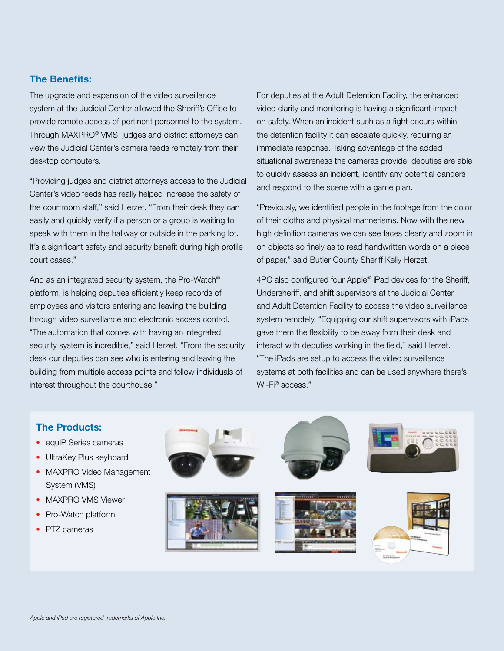### **The Benefits:**

The upgrade and expansion of the video surveillance system at the Judicial Center allowed the Sheriff's Office to provide remote access of pertinent personnel to the system. Through MAXPRO® VMS, judges and district attorneys can view the Judicial Center's camera feeds remotely from their desktop computers.

"Providing judges and district attorneys access to the Judicial Center's video feeds has really helped increase the safety of the courtroom staff," said Herzet. "From their desk they can easily and quickly verify if a person or a group is waiting to speak with them in the hallway or outside in the parking lot. It's a significant safety and security benefit during high profile court cases."

And as an integrated security system, the Pro-Watch® platform, is helping deputies efficiently keep records of employees and visitors entering and leaving the building through video surveillance and electronic access control. "The automation that comes with having an integrated security system is incredible," said Herzet. "From the security desk our deputies can see who is entering and leaving the building from multiple access points and follow individuals of interest throughout the courthouse."

For deputies at the Adult Detention Facility, the enhanced video clarity and monitoring is having a significant impact on safety. When an incident such as a fight occurs within the detention facility it can escalate quickly, requiring an immediate response. Taking advantage of the added situational awareness the cameras provide, deputies are able to quickly assess an incident, identify any potential dangers and respond to the scene with a game plan.

"Previously, we identified people in the footage from the color of their cloths and physical mannerisms. Now with the new high definition cameras we can see faces clearly and zoom in on objects so finely as to read handwritten words on a piece of paper," said Butler County Sheriff Kelly Herzet.

4PC also configured four Apple® iPad devices for the Sheriff, Undersheriff, and shift supervisors at the Judicial Center and Adult Detention Facility to access the video surveillance system remotely. "Equipping our shift supervisors with iPads gave them the flexibility to be away from their desk and interact with deputies working in the field," said Herzet. "The iPads are setup to access the video surveillance systems at both facilities and can be used anywhere there's Wi-Fi® access."

#### **The Products:**

- equIP Series cameras
- UltraKey Plus keyboard
- MAXPRO Video Management System (VMS)
- MAXPRO VMS Viewer
- Pro-Watch platform
- PTZ cameras